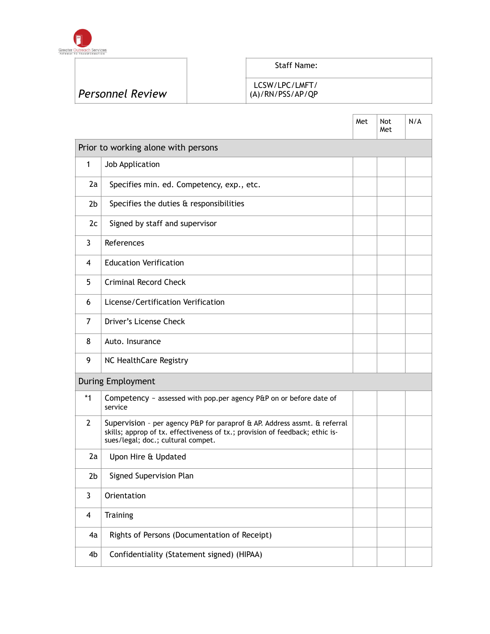

ľ

LCSW/LPC/LMFT/

| <b>Personnel Review</b> |  |
|-------------------------|--|
|                         |  |

### (A)/RN/PSS/AP/QP

|                         |                                                                                                                                                                                                 | Met | Not<br>Met | N/A |
|-------------------------|-------------------------------------------------------------------------------------------------------------------------------------------------------------------------------------------------|-----|------------|-----|
|                         | Prior to working alone with persons                                                                                                                                                             |     |            |     |
| 1                       | Job Application                                                                                                                                                                                 |     |            |     |
| 2a                      | Specifies min. ed. Competency, exp., etc.                                                                                                                                                       |     |            |     |
| 2 <sub>b</sub>          | Specifies the duties & responsibilities                                                                                                                                                         |     |            |     |
| 2c                      | Signed by staff and supervisor                                                                                                                                                                  |     |            |     |
| 3                       | References                                                                                                                                                                                      |     |            |     |
| 4                       | <b>Education Verification</b>                                                                                                                                                                   |     |            |     |
| 5                       | Criminal Record Check                                                                                                                                                                           |     |            |     |
| 6                       | License/Certification Verification                                                                                                                                                              |     |            |     |
| 7                       | Driver's License Check                                                                                                                                                                          |     |            |     |
| 8                       | Auto. Insurance                                                                                                                                                                                 |     |            |     |
| 9                       | NC HealthCare Registry                                                                                                                                                                          |     |            |     |
|                         | <b>During Employment</b>                                                                                                                                                                        |     |            |     |
| $*_{1}$                 | Competency ~ assessed with pop.per agency P&P on or before date of<br>service                                                                                                                   |     |            |     |
| $\overline{2}$          | Supervision - per agency P&P for paraprof & AP. Address assmt. & referral<br>skills; approp of tx. effectiveness of tx.; provision of feedback; ethic is-<br>sues/legal; doc.; cultural compet. |     |            |     |
| 2a                      | Upon Hire & Updated                                                                                                                                                                             |     |            |     |
| 2b                      | Signed Supervision Plan                                                                                                                                                                         |     |            |     |
| 3                       | Orientation                                                                                                                                                                                     |     |            |     |
| $\overline{\mathbf{4}}$ | Training                                                                                                                                                                                        |     |            |     |
| 4a                      | Rights of Persons (Documentation of Receipt)                                                                                                                                                    |     |            |     |
| 4b                      | Confidentiality (Statement signed) (HIPAA)                                                                                                                                                      |     |            |     |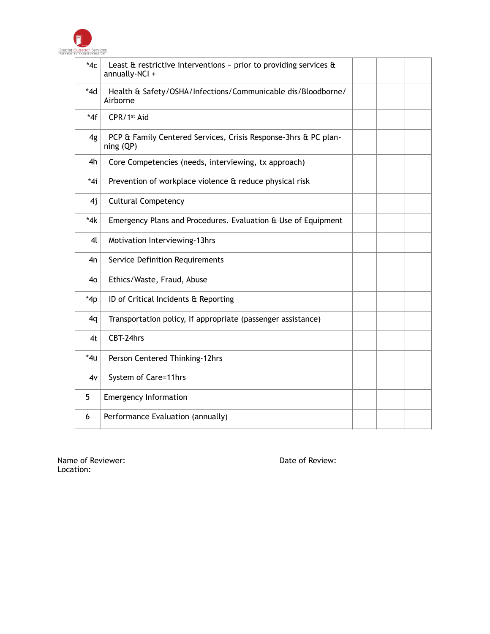

| $*4c$          | Least $\hat{a}$ restrictive interventions $\sim$ prior to providing services $\hat{a}$<br>annually-NCI + |  |  |
|----------------|----------------------------------------------------------------------------------------------------------|--|--|
| $*4d$          | Health & Safety/OSHA/Infections/Communicable dis/Bloodborne/<br>Airborne                                 |  |  |
| $*4f$          | CPR/1st Aid                                                                                              |  |  |
| 4g             | PCP & Family Centered Services, Crisis Response-3hrs & PC plan-<br>ning (QP)                             |  |  |
| 4h             | Core Competencies (needs, interviewing, tx approach)                                                     |  |  |
| $*4i$          | Prevention of workplace violence & reduce physical risk                                                  |  |  |
| 4j             | <b>Cultural Competency</b>                                                                               |  |  |
| $*4k$          | Emergency Plans and Procedures. Evaluation & Use of Equipment                                            |  |  |
| 4 <sup>l</sup> | Motivation Interviewing-13hrs                                                                            |  |  |
| 4n             | Service Definition Requirements                                                                          |  |  |
| 4 <sub>0</sub> | Ethics/Waste, Fraud, Abuse                                                                               |  |  |
| $*4p$          | ID of Critical Incidents & Reporting                                                                     |  |  |
| 4q             | Transportation policy, If appropriate (passenger assistance)                                             |  |  |
| 4t             | CBT-24hrs                                                                                                |  |  |
| *4u            | Person Centered Thinking-12hrs                                                                           |  |  |
| 4v             | System of Care=11hrs                                                                                     |  |  |
| 5              | <b>Emergency Information</b>                                                                             |  |  |
| 6              | Performance Evaluation (annually)                                                                        |  |  |

Name of Reviewer:  $\blacksquare$ Location: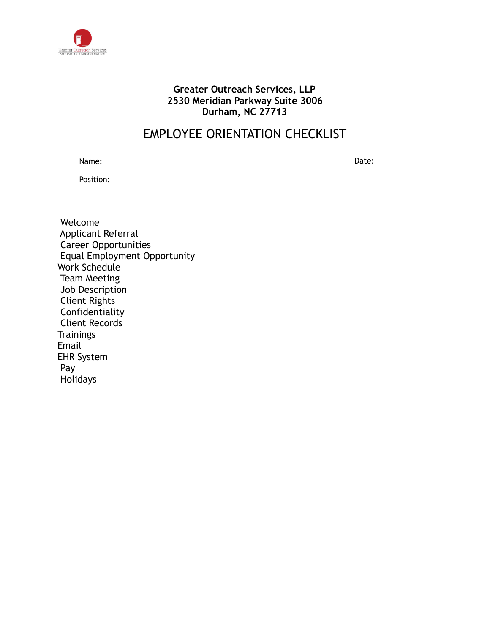

### **Greater Outreach Services, LLP 2530 Meridian Parkway Suite 3006 Durham, NC 27713**

### EMPLOYEE ORIENTATION CHECKLIST

Name: Date:

Position:

 Welcome Applicant Referral Career Opportunities Equal Employment Opportunity Work Schedule Team Meeting Job Description Client Rights Confidentiality Client Records **Trainings** Email EHR System Pay Holidays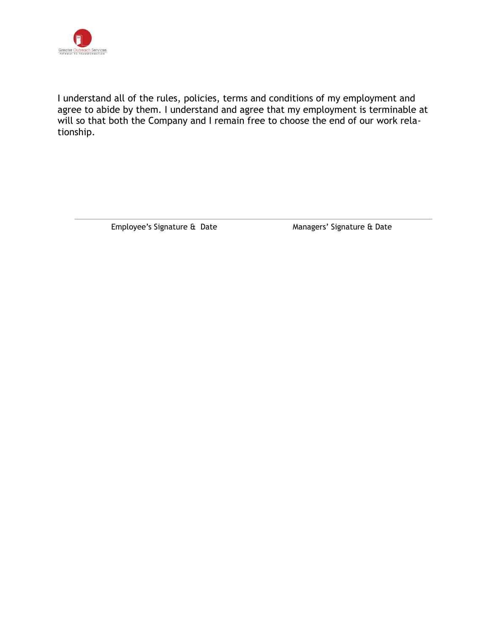

I understand all of the rules, policies, terms and conditions of my employment and agree to abide by them. I understand and agree that my employment is terminable at will so that both the Company and I remain free to choose the end of our work relationship.

Employee's Signature & Date Managers' Signature & Date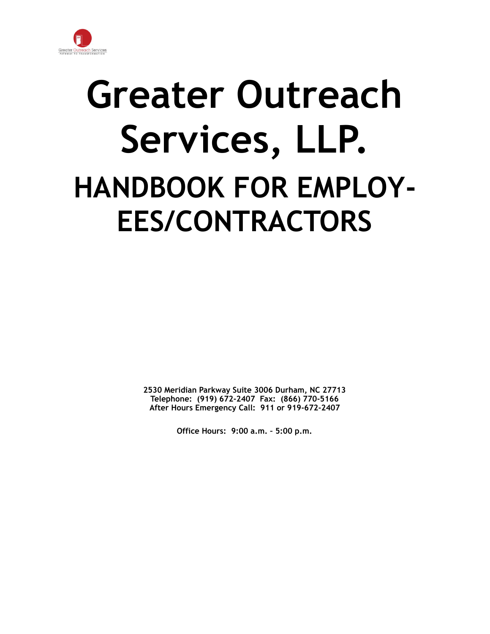

# **Greater Outreach Services, LLP. HANDBOOK FOR EMPLOY-EES/CONTRACTORS**

**2530 Meridian Parkway Suite 3006 Durham, NC 27713 Telephone: (919) 672-2407 Fax: (866) 770-5166 After Hours Emergency Call: 911 or 919-672-2407**

**Office Hours: 9:00 a.m. – 5:00 p.m.**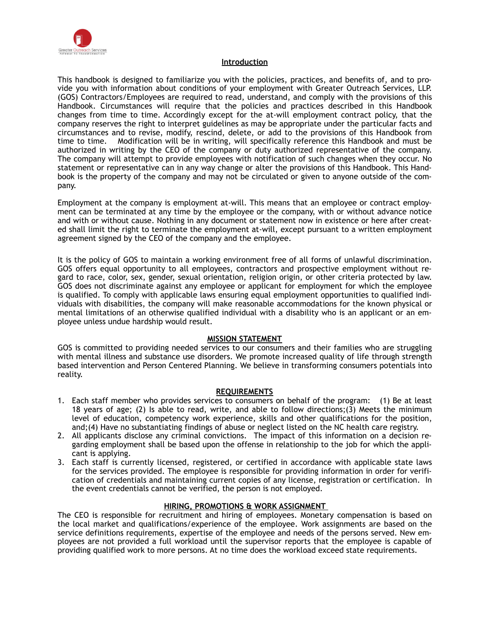

#### **Introduction**

This handbook is designed to familiarize you with the policies, practices, and benefits of, and to provide you with information about conditions of your employment with Greater Outreach Services, LLP. (GOS) Contractors/Employees are required to read, understand, and comply with the provisions of this Handbook. Circumstances will require that the policies and practices described in this Handbook changes from time to time. Accordingly except for the at-will employment contract policy, that the company reserves the right to interpret guidelines as may be appropriate under the particular facts and circumstances and to revise, modify, rescind, delete, or add to the provisions of this Handbook from time to time. Modification will be in writing, will specifically reference this Handbook and must be authorized in writing by the CEO of the company or duty authorized representative of the company. The company will attempt to provide employees with notification of such changes when they occur. No statement or representative can in any way change or alter the provisions of this Handbook. This Handbook is the property of the company and may not be circulated or given to anyone outside of the company.

Employment at the company is employment at-will. This means that an employee or contract employment can be terminated at any time by the employee or the company, with or without advance notice and with or without cause. Nothing in any document or statement now in existence or here after created shall limit the right to terminate the employment at-will, except pursuant to a written employment agreement signed by the CEO of the company and the employee.

It is the policy of GOS to maintain a working environment free of all forms of unlawful discrimination. GOS offers equal opportunity to all employees, contractors and prospective employment without regard to race, color, sex, gender, sexual orientation, religion origin, or other criteria protected by law. GOS does not discriminate against any employee or applicant for employment for which the employee is qualified. To comply with applicable laws ensuring equal employment opportunities to qualified individuals with disabilities, the company will make reasonable accommodations for the known physical or mental limitations of an otherwise qualified individual with a disability who is an applicant or an employee unless undue hardship would result.

#### **MISSION STATEMENT**

GOS is committed to providing needed services to our consumers and their families who are struggling with mental illness and substance use disorders. We promote increased quality of life through strength based intervention and Person Centered Planning. We believe in transforming consumers potentials into reality.

#### **REQUIREMENTS**

- 1. Each staff member who provides services to consumers on behalf of the program: (1) Be at least 18 years of age; (2) Is able to read, write, and able to follow directions;(3) Meets the minimum level of education, competency work experience, skills and other qualifications for the position, and;(4) Have no substantiating findings of abuse or neglect listed on the NC health care registry.
- 2. All applicants disclose any criminal convictions. The impact of this information on a decision regarding employment shall be based upon the offense in relationship to the job for which the applicant is applying.
- 3. Each staff is currently licensed, registered, or certified in accordance with applicable state laws for the services provided. The employee is responsible for providing information in order for verification of credentials and maintaining current copies of any license, registration or certification. In the event credentials cannot be verified, the person is not employed.

### **HIRING, PROMOTIONS & WORK ASSIGNMENT**

The CEO is responsible for recruitment and hiring of employees. Monetary compensation is based on the local market and qualifications/experience of the employee. Work assignments are based on the service definitions requirements, expertise of the employee and needs of the persons served. New employees are not provided a full workload until the supervisor reports that the employee is capable of providing qualified work to more persons. At no time does the workload exceed state requirements.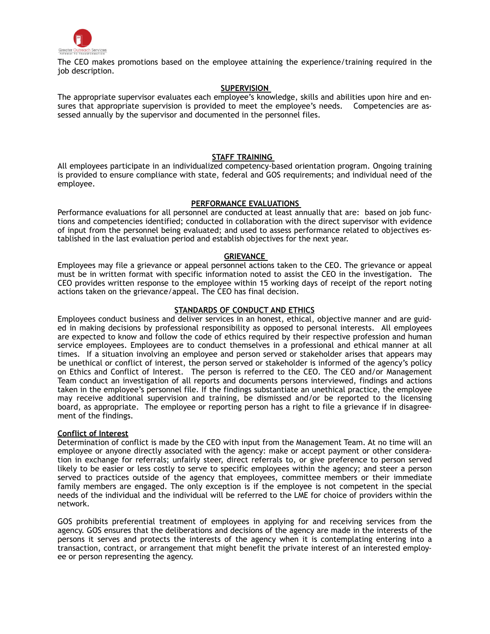

The CEO makes promotions based on the employee attaining the experience/training required in the job description.

#### **SUPERVISION**

The appropriate supervisor evaluates each employee's knowledge, skills and abilities upon hire and ensures that appropriate supervision is provided to meet the employee's needs. Competencies are assessed annually by the supervisor and documented in the personnel files.

#### **STAFF TRAINING**

All employees participate in an individualized competency-based orientation program. Ongoing training is provided to ensure compliance with state, federal and GOS requirements; and individual need of the employee.

#### **PERFORMANCE EVALUATIONS**

Performance evaluations for all personnel are conducted at least annually that are: based on job functions and competencies identified; conducted in collaboration with the direct supervisor with evidence of input from the personnel being evaluated; and used to assess performance related to objectives established in the last evaluation period and establish objectives for the next year.

#### **GRIEVANCE**

Employees may file a grievance or appeal personnel actions taken to the CEO. The grievance or appeal must be in written format with specific information noted to assist the CEO in the investigation. The CEO provides written response to the employee within 15 working days of receipt of the report noting actions taken on the grievance/appeal. The CEO has final decision.

#### **STANDARDS OF CONDUCT AND ETHICS**

Employees conduct business and deliver services in an honest, ethical, objective manner and are guided in making decisions by professional responsibility as opposed to personal interests. All employees are expected to know and follow the code of ethics required by their respective profession and human service employees. Employees are to conduct themselves in a professional and ethical manner at all times. If a situation involving an employee and person served or stakeholder arises that appears may be unethical or conflict of interest, the person served or stakeholder is informed of the agency's policy on Ethics and Conflict of Interest. The person is referred to the CEO. The CEO and/or Management Team conduct an investigation of all reports and documents persons interviewed, findings and actions taken in the employee's personnel file. If the findings substantiate an unethical practice, the employee may receive additional supervision and training, be dismissed and/or be reported to the licensing board, as appropriate. The employee or reporting person has a right to file a grievance if in disagreement of the findings.

#### **Conflict of Interest**

Determination of conflict is made by the CEO with input from the Management Team. At no time will an employee or anyone directly associated with the agency: make or accept payment or other consideration in exchange for referrals; unfairly steer, direct referrals to, or give preference to person served likely to be easier or less costly to serve to specific employees within the agency; and steer a person served to practices outside of the agency that employees, committee members or their immediate family members are engaged. The only exception is if the employee is not competent in the special needs of the individual and the individual will be referred to the LME for choice of providers within the network.

GOS prohibits preferential treatment of employees in applying for and receiving services from the agency. GOS ensures that the deliberations and decisions of the agency are made in the interests of the persons it serves and protects the interests of the agency when it is contemplating entering into a transaction, contract, or arrangement that might benefit the private interest of an interested employee or person representing the agency.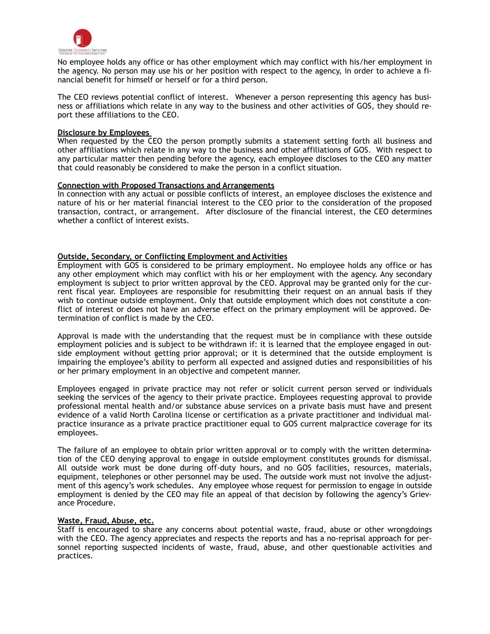

No employee holds any office or has other employment which may conflict with his/her employment in the agency. No person may use his or her position with respect to the agency, in order to achieve a financial benefit for himself or herself or for a third person.

The CEO reviews potential conflict of interest. Whenever a person representing this agency has business or affiliations which relate in any way to the business and other activities of GOS, they should report these affiliations to the CEO.

#### **Disclosure by Employees**

When requested by the CEO the person promptly submits a statement setting forth all business and other affiliations which relate in any way to the business and other affiliations of GOS. With respect to any particular matter then pending before the agency, each employee discloses to the CEO any matter that could reasonably be considered to make the person in a conflict situation.

#### **Connection with Proposed Transactions and Arrangements**

In connection with any actual or possible conflicts of interest, an employee discloses the existence and nature of his or her material financial interest to the CEO prior to the consideration of the proposed transaction, contract, or arrangement. After disclosure of the financial interest, the CEO determines whether a conflict of interest exists.

#### **Outside, Secondary, or Conflicting Employment and Activities**

Employment with GOS is considered to be primary employment. No employee holds any office or has any other employment which may conflict with his or her employment with the agency. Any secondary employment is subject to prior written approval by the CEO. Approval may be granted only for the current fiscal year. Employees are responsible for resubmitting their request on an annual basis if they wish to continue outside employment. Only that outside employment which does not constitute a conflict of interest or does not have an adverse effect on the primary employment will be approved. Determination of conflict is made by the CEO.

Approval is made with the understanding that the request must be in compliance with these outside employment policies and is subject to be withdrawn if: it is learned that the employee engaged in outside employment without getting prior approval; or it is determined that the outside employment is impairing the employee's ability to perform all expected and assigned duties and responsibilities of his or her primary employment in an objective and competent manner.

Employees engaged in private practice may not refer or solicit current person served or individuals seeking the services of the agency to their private practice. Employees requesting approval to provide professional mental health and/or substance abuse services on a private basis must have and present evidence of a valid North Carolina license or certification as a private practitioner and individual malpractice insurance as a private practice practitioner equal to GOS current malpractice coverage for its employees.

The failure of an employee to obtain prior written approval or to comply with the written determination of the CEO denying approval to engage in outside employment constitutes grounds for dismissal. All outside work must be done during off-duty hours, and no GOS facilities, resources, materials, equipment, telephones or other personnel may be used. The outside work must not involve the adjustment of this agency's work schedules. Any employee whose request for permission to engage in outside employment is denied by the CEO may file an appeal of that decision by following the agency's Grievance Procedure.

#### **Waste, Fraud, Abuse, etc.**

Staff is encouraged to share any concerns about potential waste, fraud, abuse or other wrongdoings with the CEO. The agency appreciates and respects the reports and has a no-reprisal approach for personnel reporting suspected incidents of waste, fraud, abuse, and other questionable activities and practices.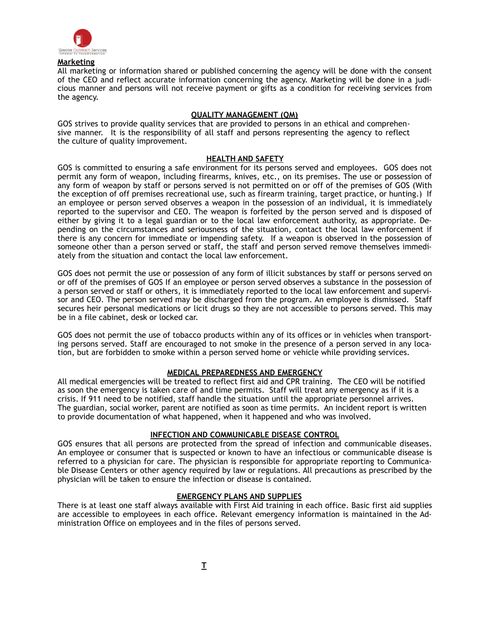

#### **Marketing**

All marketing or information shared or published concerning the agency will be done with the consent of the CEO and reflect accurate information concerning the agency. Marketing will be done in a judicious manner and persons will not receive payment or gifts as a condition for receiving services from the agency.

#### **QUALITY MANAGEMENT (QM)**

GOS strives to provide quality services that are provided to persons in an ethical and comprehensive manner. It is the responsibility of all staff and persons representing the agency to reflect the culture of quality improvement.

#### **HEALTH AND SAFETY**

GOS is committed to ensuring a safe environment for its persons served and employees. GOS does not permit any form of weapon, including firearms, knives, etc., on its premises. The use or possession of any form of weapon by staff or persons served is not permitted on or off of the premises of GOS (With the exception of off premises recreational use, such as firearm training, target practice, or hunting.) If an employee or person served observes a weapon in the possession of an individual, it is immediately reported to the supervisor and CEO. The weapon is forfeited by the person served and is disposed of either by giving it to a legal guardian or to the local law enforcement authority, as appropriate. Depending on the circumstances and seriousness of the situation, contact the local law enforcement if there is any concern for immediate or impending safety. If a weapon is observed in the possession of someone other than a person served or staff, the staff and person served remove themselves immediately from the situation and contact the local law enforcement.

GOS does not permit the use or possession of any form of illicit substances by staff or persons served on or off of the premises of GOS If an employee or person served observes a substance in the possession of a person served or staff or others, it is immediately reported to the local law enforcement and supervisor and CEO. The person served may be discharged from the program. An employee is dismissed. Staff secures heir personal medications or licit drugs so they are not accessible to persons served. This may be in a file cabinet, desk or locked car.

GOS does not permit the use of tobacco products within any of its offices or in vehicles when transporting persons served. Staff are encouraged to not smoke in the presence of a person served in any location, but are forbidden to smoke within a person served home or vehicle while providing services.

#### **MEDICAL PREPAREDNESS AND EMERGENCY**

All medical emergencies will be treated to reflect first aid and CPR training. The CEO will be notified as soon the emergency is taken care of and time permits. Staff will treat any emergency as if it is a crisis. If 911 need to be notified, staff handle the situation until the appropriate personnel arrives. The guardian, social worker, parent are notified as soon as time permits. An incident report is written to provide documentation of what happened, when it happened and who was involved.

#### **INFECTION AND COMMUNICABLE DISEASE CONTROL**

GOS ensures that all persons are protected from the spread of infection and communicable diseases. An employee or consumer that is suspected or known to have an infectious or communicable disease is referred to a physician for care. The physician is responsible for appropriate reporting to Communicable Disease Centers or other agency required by law or regulations. All precautions as prescribed by the physician will be taken to ensure the infection or disease is contained.

#### **EMERGENCY PLANS AND SUPPLIES**

There is at least one staff always available with First Aid training in each office. Basic first aid supplies are accessible to employees in each office. Relevant emergency information is maintained in the Administration Office on employees and in the files of persons served.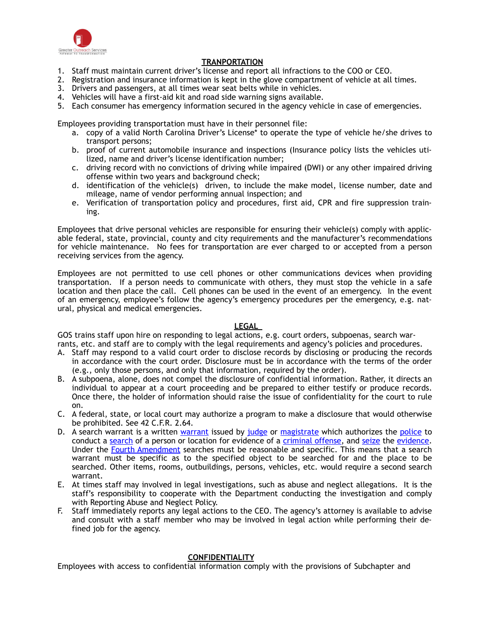

#### **TRANPORTATION**

- 1. Staff must maintain current driver's license and report all infractions to the COO or CEO.
- 2. Registration and insurance information is kept in the glove compartment of vehicle at all times.
- 3. Drivers and passengers, at all times wear seat belts while in vehicles.
- 4. Vehicles will have a first-aid kit and road side warning signs available.
- 5. Each consumer has emergency information secured in the agency vehicle in case of emergencies.

Employees providing transportation must have in their personnel file:

- a. copy of a valid North Carolina Driver's License\* to operate the type of vehicle he/she drives to transport persons;
- b. proof of current automobile insurance and inspections (Insurance policy lists the vehicles utilized, name and driver's license identification number;
- c. driving record with no convictions of driving while impaired (DWI) or any other impaired driving offense within two years and background check;
- d. identification of the vehicle(s) driven, to include the make model, license number, date and mileage, name of vendor performing annual inspection; and
- e. Verification of transportation policy and procedures, first aid, CPR and fire suppression training.

Employees that drive personal vehicles are responsible for ensuring their vehicle(s) comply with applicable federal, state, provincial, county and city requirements and the manufacturer's recommendations for vehicle maintenance. No fees for transportation are ever charged to or accepted from a person receiving services from the agency.

Employees are not permitted to use cell phones or other communications devices when providing transportation. If a person needs to communicate with others, they must stop the vehicle in a safe location and then place the call. Cell phones can be used in the event of an emergency. In the event of an emergency, employee's follow the agency's emergency procedures per the emergency, e.g. natural, physical and medical emergencies.

#### **LEGAL**

GOS trains staff upon hire on responding to legal actions, e.g. court orders, subpoenas, search warrants, etc. and staff are to comply with the legal requirements and agency's policies and procedures.

- A. Staff may respond to a valid court order to disclose records by disclosing or producing the records in accordance with the court order. Disclosure must be in accordance with the terms of the order (e.g., only those persons, and only that information, required by the order).
- B. A subpoena, alone, does not compel the disclosure of confidential information. Rather, it directs an individual to appear at a court proceeding and be prepared to either testify or produce records. Once there, the holder of information should raise the issue of confidentiality for the court to rule on.
- C. A federal, state, or local court may authorize a program to make a disclosure that would otherwise be prohibited. See 42 C.F.R. 2.64.
- D. A search [warrant](http://en.wikipedia.org/wiki/Warrant_%252525252528law%252525252529) is a written warrant issued by [judge](http://en.wikipedia.org/wiki/Judge) or [magistrate](http://en.wikipedia.org/wiki/Magistrate) which authorizes the [police](http://en.wikipedia.org/wiki/Police) to conduct a [search](http://en.wikipedia.org/wiki/Search) of a person or location for evidence of a [criminal offense,](http://en.wikipedia.org/wiki/Crime) and [seize](http://en.wikipedia.org/wiki/Confiscation) the [evidence](http://en.wikipedia.org/wiki/Evidence). Under the [Fourth Amendment](http://en.wikipedia.org/wiki/Fourth_Amendment_to_the_United_States_Constitution) searches must be reasonable and specific. This means that a search warrant must be specific as to the specified object to be searched for and the place to be searched. Other items, rooms, outbuildings, persons, vehicles, etc. would require a second search warrant.
- E. At times staff may involved in legal investigations, such as abuse and neglect allegations. It is the staff's responsibility to cooperate with the Department conducting the investigation and comply with Reporting Abuse and Neglect Policy.
- F. Staff immediately reports any legal actions to the CEO. The agency's attorney is available to advise and consult with a staff member who may be involved in legal action while performing their defined job for the agency.

#### **CONFIDENTIALITY**

Employees with access to confidential information comply with the provisions of Subchapter and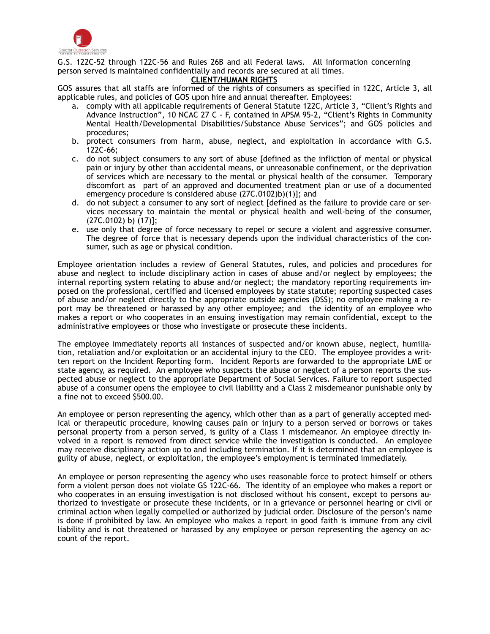

G.S. 122C-52 through 122C-56 and Rules 26B and all Federal laws. All information concerning person served is maintained confidentially and records are secured at all times.

#### **CLIENT/HUMAN RIGHTS**

GOS assures that all staffs are informed of the rights of consumers as specified in 122C, Article 3, all applicable rules, and policies of GOS upon hire and annual thereafter. Employees:

- a. comply with all applicable requirements of General Statute 122C, Article 3, "Client's Rights and Advance Instruction", 10 NCAC 27 C - F, contained in APSM 95-2, "Client's Rights in Community Mental Health/Developmental Disabilities/Substance Abuse Services"; and GOS policies and procedures;
- b. protect consumers from harm, abuse, neglect, and exploitation in accordance with G.S. 122C-66;
- c. do not subject consumers to any sort of abuse [defined as the infliction of mental or physical pain or injury by other than accidental means, or unreasonable confinement, or the deprivation of services which are necessary to the mental or physical health of the consumer. Temporary discomfort as part of an approved and documented treatment plan or use of a documented emergency procedure is considered abuse (27C.0102)b)(1)]; and
- d. do not subject a consumer to any sort of neglect [defined as the failure to provide care or services necessary to maintain the mental or physical health and well-being of the consumer, (27C.0102) b) (17)];
- e. use only that degree of force necessary to repel or secure a violent and aggressive consumer. The degree of force that is necessary depends upon the individual characteristics of the consumer, such as age or physical condition.

Employee orientation includes a review of General Statutes, rules, and policies and procedures for abuse and neglect to include disciplinary action in cases of abuse and/or neglect by employees; the internal reporting system relating to abuse and/or neglect; the mandatory reporting requirements imposed on the professional, certified and licensed employees by state statute; reporting suspected cases of abuse and/or neglect directly to the appropriate outside agencies (DSS); no employee making a report may be threatened or harassed by any other employee; and the identity of an employee who makes a report or who cooperates in an ensuing investigation may remain confidential, except to the administrative employees or those who investigate or prosecute these incidents.

The employee immediately reports all instances of suspected and/or known abuse, neglect, humiliation, retaliation and/or exploitation or an accidental injury to the CEO. The employee provides a written report on the Incident Reporting form. Incident Reports are forwarded to the appropriate LME or state agency, as required. An employee who suspects the abuse or neglect of a person reports the suspected abuse or neglect to the appropriate Department of Social Services. Failure to report suspected abuse of a consumer opens the employee to civil liability and a Class 2 misdemeanor punishable only by a fine not to exceed \$500.00.

An employee or person representing the agency, which other than as a part of generally accepted medical or therapeutic procedure, knowing causes pain or injury to a person served or borrows or takes personal property from a person served, is guilty of a Class 1 misdemeanor. An employee directly involved in a report is removed from direct service while the investigation is conducted. An employee may receive disciplinary action up to and including termination. If it is determined that an employee is guilty of abuse, neglect, or exploitation, the employee's employment is terminated immediately.

An employee or person representing the agency who uses reasonable force to protect himself or others form a violent person does not violate GS 122C-66. The identity of an employee who makes a report or who cooperates in an ensuing investigation is not disclosed without his consent, except to persons authorized to investigate or prosecute these incidents, or in a grievance or personnel hearing or civil or criminal action when legally compelled or authorized by judicial order. Disclosure of the person's name is done if prohibited by law. An employee who makes a report in good faith is immune from any civil liability and is not threatened or harassed by any employee or person representing the agency on account of the report.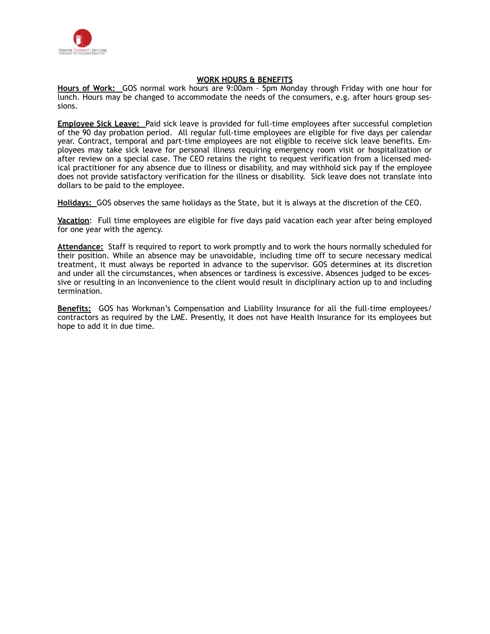

#### **WORK HOURS & BENEFITS**

**Hours of Work:** GOS normal work hours are 9:00am – 5pm Monday through Friday with one hour for lunch. Hours may be changed to accommodate the needs of the consumers, e.g. after hours group sessions.

**Employee Sick Leave:** Paid sick leave is provided for full-time employees after successful completion of the 90 day probation period. All regular full-time employees are eligible for five days per calendar year. Contract, temporal and part-time employees are not eligible to receive sick leave benefits. Employees may take sick leave for personal illness requiring emergency room visit or hospitalization or after review on a special case. The CEO retains the right to request verification from a licensed medical practitioner for any absence due to illness or disability, and may withhold sick pay if the employee does not provide satisfactory verification for the illness or disability. Sick leave does not translate into dollars to be paid to the employee.

**Holidays:** GOS observes the same holidays as the State, but it is always at the discretion of the CEO.

**Vacation**: Full time employees are eligible for five days paid vacation each year after being employed for one year with the agency.

**Attendance:** Staff is required to report to work promptly and to work the hours normally scheduled for their position. While an absence may be unavoidable, including time off to secure necessary medical treatment, it must always be reported in advance to the supervisor. GOS determines at its discretion and under all the circumstances, when absences or tardiness is excessive. Absences judged to be excessive or resulting in an inconvenience to the client would result in disciplinary action up to and including termination.

**Benefits:** GOS has Workman's Compensation and Liability Insurance for all the full-time employees/ contractors as required by the LME. Presently, it does not have Health Insurance for its employees but hope to add it in due time.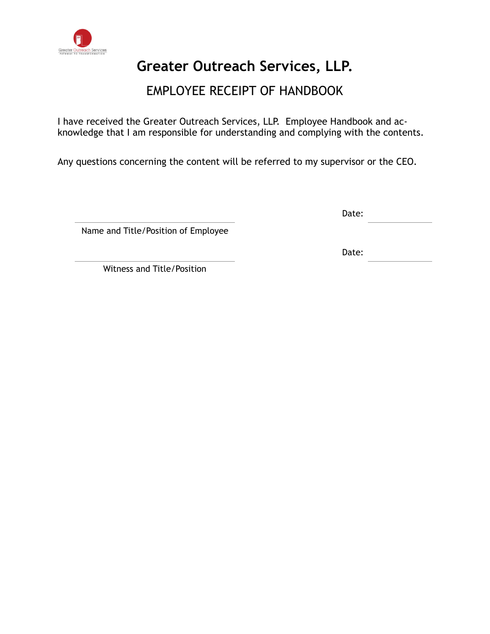

### EMPLOYEE RECEIPT OF HANDBOOK

I have received the Greater Outreach Services, LLP. Employee Handbook and acknowledge that I am responsible for understanding and complying with the contents.

Any questions concerning the content will be referred to my supervisor or the CEO.

Date:

Name and Title/Position of Employee

Date:

Witness and Title/Position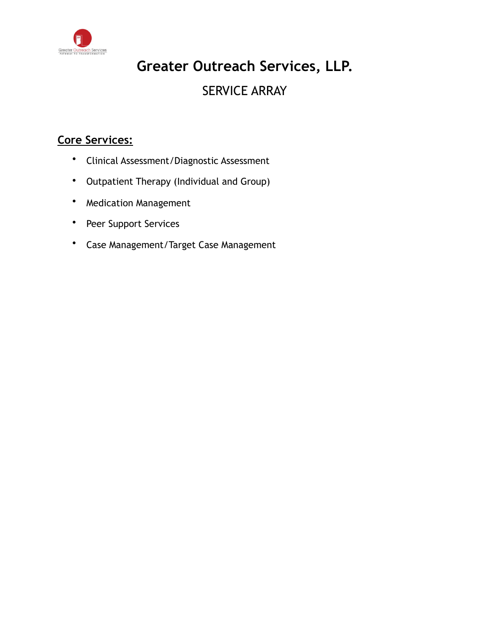

### **Greater Outreach Services, LLP.**  SERVICE ARRAY

### **Core Services:**

- Clinical Assessment/Diagnostic Assessment
- Outpatient Therapy (Individual and Group)
- Medication Management
- Peer Support Services
- Case Management/Target Case Management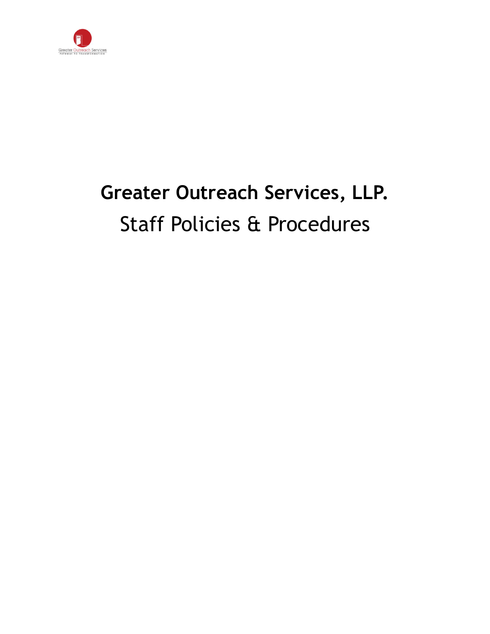

## **Greater Outreach Services, LLP.**  Staff Policies & Procedures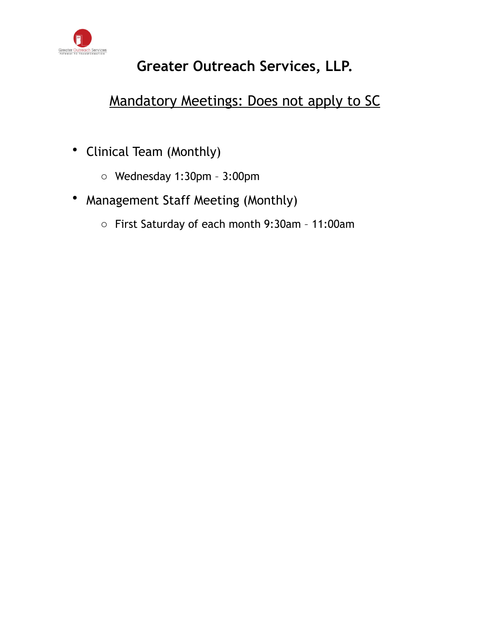

### Mandatory Meetings: Does not apply to SC

- Clinical Team (Monthly)
	- o Wednesday 1:30pm 3:00pm
- Management Staff Meeting (Monthly)
	- o First Saturday of each month 9:30am 11:00am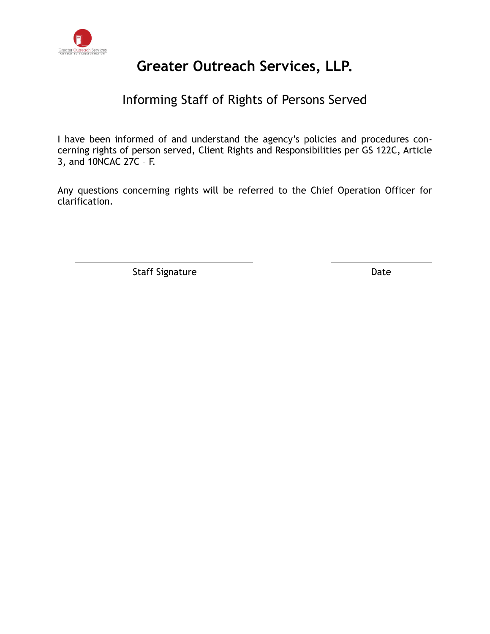

### Informing Staff of Rights of Persons Served

I have been informed of and understand the agency's policies and procedures concerning rights of person served, Client Rights and Responsibilities per GS 122C, Article 3, and 10NCAC 27C – F.

Any questions concerning rights will be referred to the Chief Operation Officer for clarification.

Staff Signature Date Date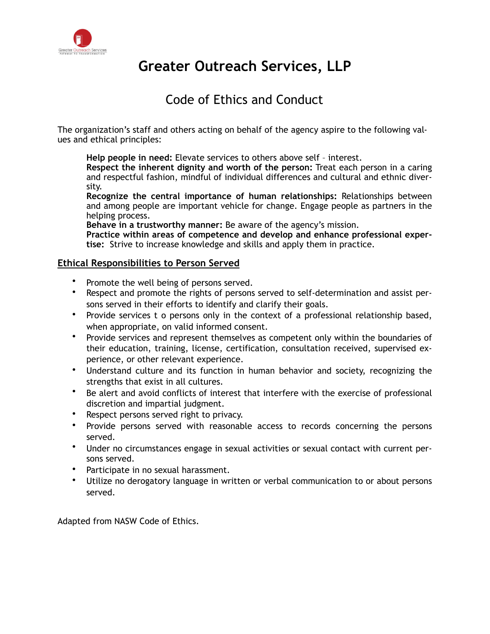

### Code of Ethics and Conduct

The organization's staff and others acting on behalf of the agency aspire to the following values and ethical principles:

**Help people in need:** Elevate services to others above self – interest.

**Respect the inherent dignity and worth of the person:** Treat each person in a caring and respectful fashion, mindful of individual differences and cultural and ethnic diversity.

**Recognize the central importance of human relationships:** Relationships between and among people are important vehicle for change. Engage people as partners in the helping process.

**Behave in a trustworthy manner:** Be aware of the agency's mission.

**Practice within areas of competence and develop and enhance professional expertise:** Strive to increase knowledge and skills and apply them in practice.

### **Ethical Responsibilities to Person Served**

- Promote the well being of persons served.
- Respect and promote the rights of persons served to self-determination and assist persons served in their efforts to identify and clarify their goals.
- Provide services t o persons only in the context of a professional relationship based, when appropriate, on valid informed consent.
- Provide services and represent themselves as competent only within the boundaries of their education, training, license, certification, consultation received, supervised experience, or other relevant experience.
- Understand culture and its function in human behavior and society, recognizing the strengths that exist in all cultures.
- Be alert and avoid conflicts of interest that interfere with the exercise of professional discretion and impartial judgment.
- Respect persons served right to privacy.
- Provide persons served with reasonable access to records concerning the persons served.
- Under no circumstances engage in sexual activities or sexual contact with current persons served.
- Participate in no sexual harassment.
- Utilize no derogatory language in written or verbal communication to or about persons served.

Adapted from NASW Code of Ethics.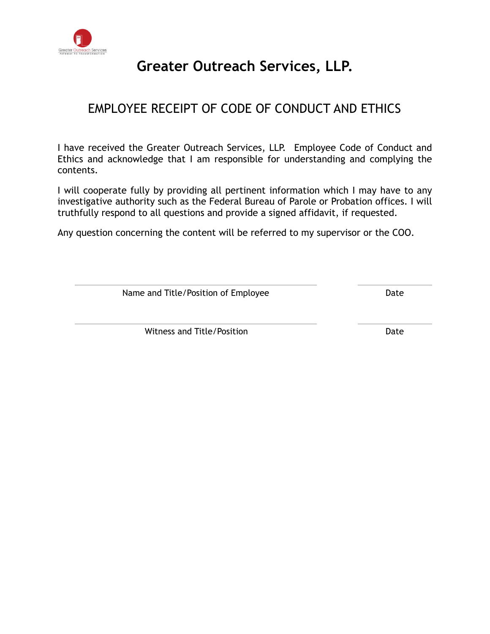

### EMPLOYEE RECEIPT OF CODE OF CONDUCT AND ETHICS

I have received the Greater Outreach Services, LLP. Employee Code of Conduct and Ethics and acknowledge that I am responsible for understanding and complying the contents.

I will cooperate fully by providing all pertinent information which I may have to any investigative authority such as the Federal Bureau of Parole or Probation offices. I will truthfully respond to all questions and provide a signed affidavit, if requested.

Any question concerning the content will be referred to my supervisor or the COO.

Name and Title/Position of Employee Date

Witness and Title/Position **Date**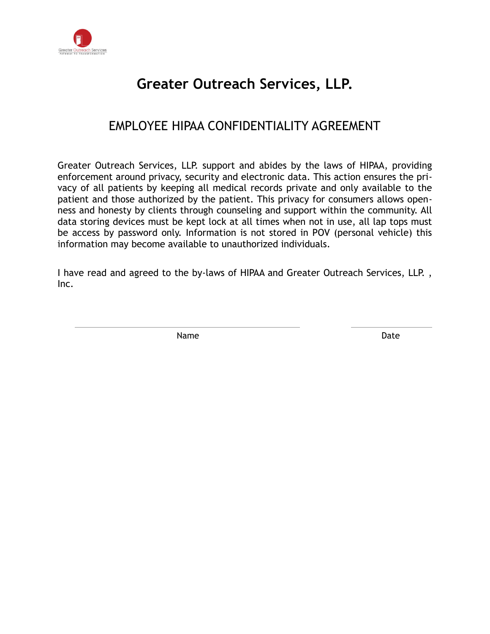

### EMPLOYEE HIPAA CONFIDENTIALITY AGREEMENT

Greater Outreach Services, LLP. support and abides by the laws of HIPAA, providing enforcement around privacy, security and electronic data. This action ensures the privacy of all patients by keeping all medical records private and only available to the patient and those authorized by the patient. This privacy for consumers allows openness and honesty by clients through counseling and support within the community. All data storing devices must be kept lock at all times when not in use, all lap tops must be access by password only. Information is not stored in POV (personal vehicle) this information may become available to unauthorized individuals.

I have read and agreed to the by-laws of HIPAA and Greater Outreach Services, LLP. , Inc.

Name Date **Date**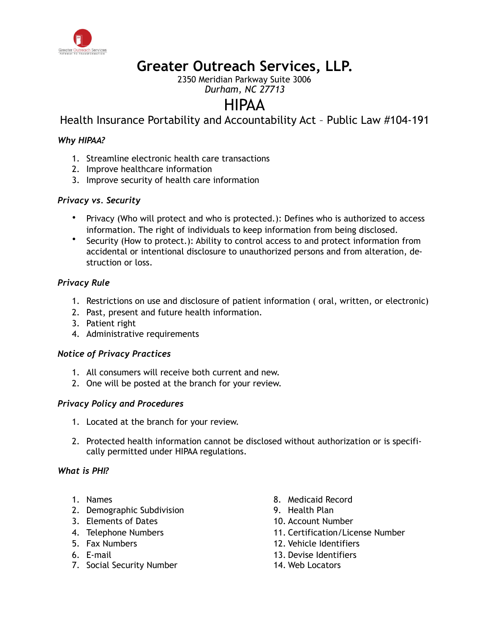

2350 Meridian Parkway Suite 3006

### *Durham, NC 27713*

### HIPAA

Health Insurance Portability and Accountability Act – Public Law #104-191

### *Why HIPAA?*

- 1. Streamline electronic health care transactions
- 2. Improve healthcare information
- 3. Improve security of health care information

### *Privacy vs. Security*

- Privacy (Who will protect and who is protected.): Defines who is authorized to access information. The right of individuals to keep information from being disclosed.
- Security (How to protect.): Ability to control access to and protect information from accidental or intentional disclosure to unauthorized persons and from alteration, destruction or loss.

### *Privacy Rule*

- 1. Restrictions on use and disclosure of patient information ( oral, written, or electronic)
- 2. Past, present and future health information.
- 3. Patient right
- 4. Administrative requirements

### *Notice of Privacy Practices*

- 1. All consumers will receive both current and new.
- 2. One will be posted at the branch for your review.

### *Privacy Policy and Procedures*

- 1. Located at the branch for your review.
- 2. Protected health information cannot be disclosed without authorization or is specifically permitted under HIPAA regulations.

### *What is PHI?*

- 1. Names
- 2. Demographic Subdivision
- 3. Elements of Dates
- 4. Telephone Numbers
- 5. Fax Numbers
- 6. E-mail
- 7. Social Security Number
- 8. Medicaid Record
- 9. Health Plan
- 10. Account Number
- 11. Certification/License Number
- 12. Vehicle Identifiers
- 13. Devise Identifiers
- 14. Web Locators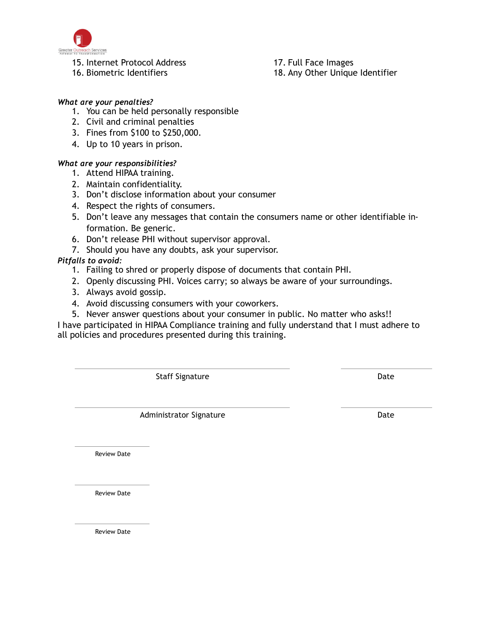

15. Internet Protocol Address

16. Biometric Identifiers

17. Full Face Images

18. Any Other Unique Identifier

### *What are your penalties?*

- 1. You can be held personally responsible
- 2. Civil and criminal penalties
- 3. Fines from \$100 to \$250,000.
- 4. Up to 10 years in prison.

### *What are your responsibilities?*

- 1. Attend HIPAA training.
- 2. Maintain confidentiality.
- 3. Don't disclose information about your consumer
- 4. Respect the rights of consumers.
- 5. Don't leave any messages that contain the consumers name or other identifiable information. Be generic.
- 6. Don't release PHI without supervisor approval.
- 7. Should you have any doubts, ask your supervisor.

### *Pitfalls to avoid:*

- 1. Failing to shred or properly dispose of documents that contain PHI.
- 2. Openly discussing PHI. Voices carry; so always be aware of your surroundings.
- 3. Always avoid gossip.
- 4. Avoid discussing consumers with your coworkers.
- 5. Never answer questions about your consumer in public. No matter who asks!!

I have participated in HIPAA Compliance training and fully understand that I must adhere to all policies and procedures presented during this training.

Staff Signature Date Date

Administrator Signature **Date** Date

Review Date

Review Date

Review Date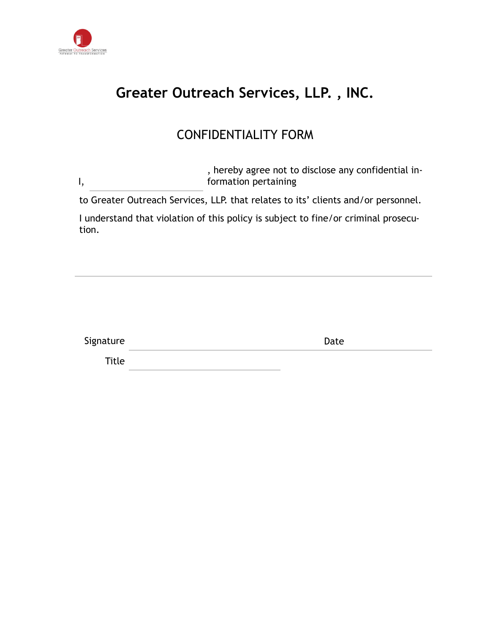

### **Greater Outreach Services, LLP. , INC.**

### CONFIDENTIALITY FORM

I, , hereby agree not to disclose any confidential information pertaining

to Greater Outreach Services, LLP. that relates to its' clients and/or personnel.

I understand that violation of this policy is subject to fine/or criminal prosecution.

| Signature | Date |
|-----------|------|
| Title     |      |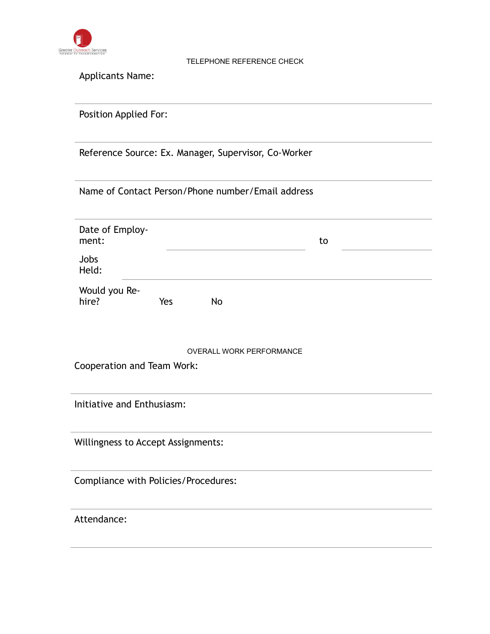

#### TELEPHONE REFERENCE CHECK

Applicants Name:

Position Applied For:

Reference Source: Ex. Manager, Supervisor, Co-Worker

Name of Contact Person/Phone number/Email address

| Date of Employ-<br>ment: |     |    | to |
|--------------------------|-----|----|----|
| Jobs<br>Held:            |     |    |    |
| Would you Re-<br>hire?   | Yes | No |    |

OVERALL WORK PERFORMANCE

Cooperation and Team Work:

Initiative and Enthusiasm:

Willingness to Accept Assignments:

Compliance with Policies/Procedures:

Attendance: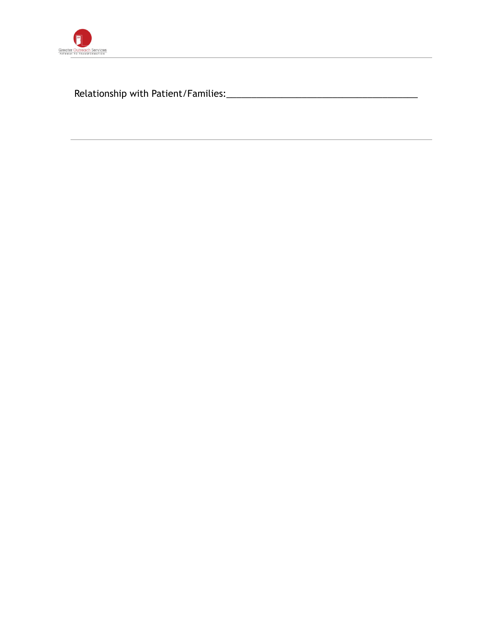

Relationship with Patient/Families:\_\_\_\_\_\_\_\_\_\_\_\_\_\_\_\_\_\_\_\_\_\_\_\_\_\_\_\_\_\_\_\_\_\_\_\_\_\_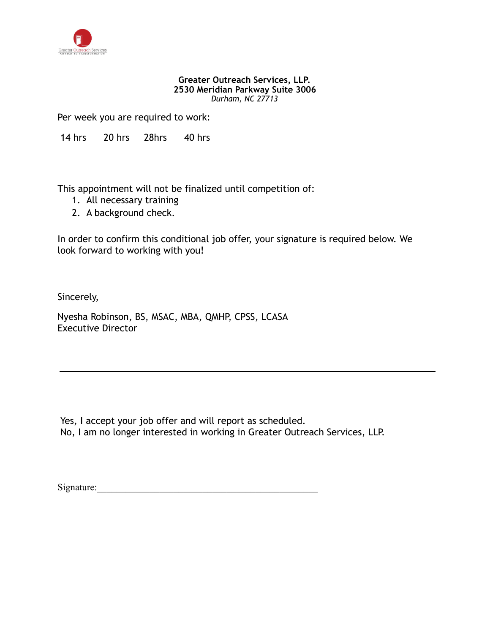

#### **Greater Outreach Services, LLP. 2530 Meridian Parkway Suite 3006** *Durham, NC 27713*

Per week you are required to work:

14 hrs 20 hrs 28hrs 40 hrs

This appointment will not be finalized until competition of:

- 1. All necessary training
- 2. A background check.

In order to confirm this conditional job offer, your signature is required below. We look forward to working with you!

Sincerely,

Nyesha Robinson, BS, MSAC, MBA, QMHP, CPSS, LCASA Executive Director

 Yes, I accept your job offer and will report as scheduled. No, I am no longer interested in working in Greater Outreach Services, LLP.

Signature:  $\frac{1}{\sqrt{1-\frac{1}{2}}}\left[\frac{1}{\sqrt{1-\frac{1}{2}}}\right]$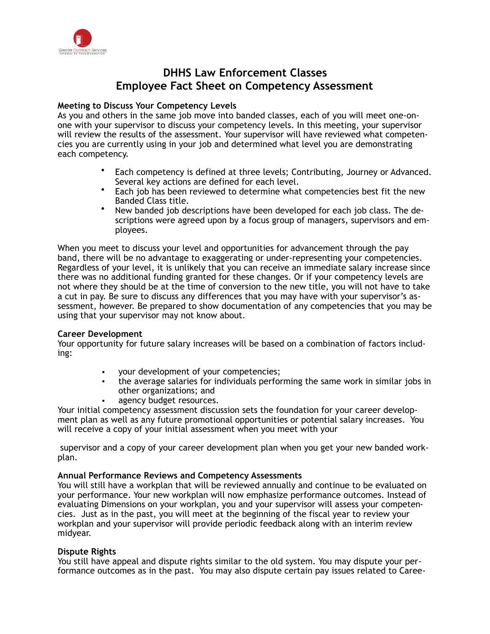

### **DHHS Law Enforcement Classes Employee Fact Sheet on Competency Assessment**

### **Meeting to Discuss Your Competency Levels**

As you and others in the same job move into banded classes, each of you will meet one-onone with your supervisor to discuss your competency levels. In this meeting, your supervisor will review the results of the assessment. Your supervisor will have reviewed what competencies you are currently using in your job and determined what level you are demonstrating each competency.

- Each competency is defined at three levels; Contributing, Journey or Advanced. Several key actions are defined for each level.
- Each job has been reviewed to determine what competencies best fit the new Banded Class title.
- New banded job descriptions have been developed for each job class. The descriptions were agreed upon by a focus group of managers, supervisors and employees.

When you meet to discuss your level and opportunities for advancement through the pay band, there will be no advantage to exaggerating or under-representing your competencies. Regardless of your level, it is unlikely that you can receive an immediate salary increase since there was no additional funding granted for these changes. Or if your competency levels are not where they should be at the time of conversion to the new title, you will not have to take a cut in pay. Be sure to discuss any differences that you may have with your supervisor's assessment, however. Be prepared to show documentation of any competencies that you may be using that your supervisor may not know about.

#### **Career Development**

Your opportunity for future salary increases will be based on a combination of factors including:

- vour development of your competencies;
- the average salaries for individuals performing the same work in similar jobs in other organizations; and
- agency budget resources.

Your initial competency assessment discussion sets the foundation for your career development plan as well as any future promotional opportunities or potential salary increases. You will receive a copy of your initial assessment when you meet with your

 supervisor and a copy of your career development plan when you get your new banded workplan.

#### **Annual Performance Reviews and Competency Assessments**

You will still have a workplan that will be reviewed annually and continue to be evaluated on your performance. Your new workplan will now emphasize performance outcomes. Instead of evaluating Dimensions on your workplan, you and your supervisor will assess your competencies. Just as in the past, you will meet at the beginning of the fiscal year to review your workplan and your supervisor will provide periodic feedback along with an interim review midyear.

#### **Dispute Rights**

You still have appeal and dispute rights similar to the old system. You may dispute your performance outcomes as in the past. You may also dispute certain pay issues related to Caree-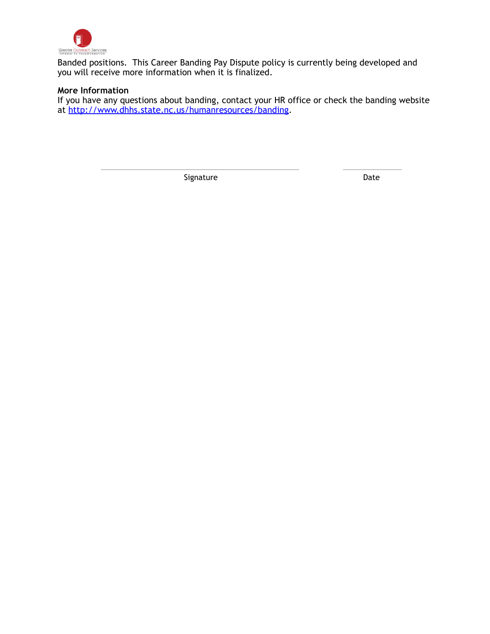

Banded positions. This Career Banding Pay Dispute policy is currently being developed and you will receive more information when it is finalized.

### **More Information**

If you have any questions about banding, contact your HR office or check the banding website at [http://www.dhhs.state.nc.us/humanresources/banding.](http://www.dhhs.state.nc.us/humanresources/banding)

Signature Date Date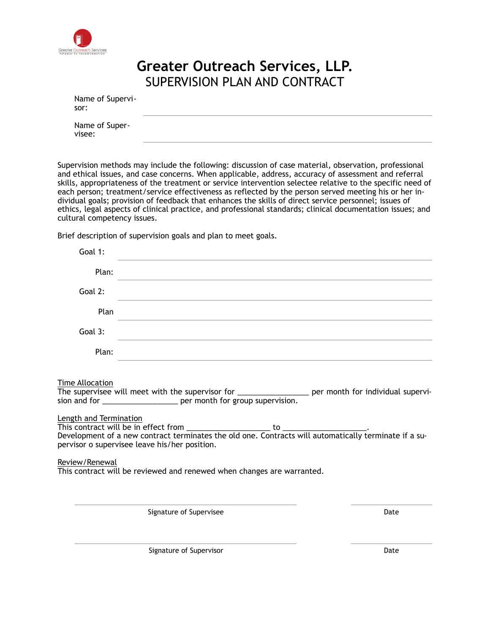

### **Greater Outreach Services, LLP.**  SUPERVISION PLAN AND CONTRACT

| Name of Supervi-<br>sor: |  |
|--------------------------|--|
| Name of Super-<br>visee: |  |

Supervision methods may include the following: discussion of case material, observation, professional and ethical issues, and case concerns. When applicable, address, accuracy of assessment and referral skills, appropriateness of the treatment or service intervention selectee relative to the specific need of each person; treatment/service effectiveness as reflected by the person served meeting his or her individual goals; provision of feedback that enhances the skills of direct service personnel; issues of ethics, legal aspects of clinical practice, and professional standards; clinical documentation issues; and cultural competency issues.

Brief description of supervision goals and plan to meet goals.

| Goal 1:                                                     |                                                                                                                                                                                                                                                                                                               |      |
|-------------------------------------------------------------|---------------------------------------------------------------------------------------------------------------------------------------------------------------------------------------------------------------------------------------------------------------------------------------------------------------|------|
| Plan:                                                       | the control of the control of the control of the control of the control of the control of                                                                                                                                                                                                                     |      |
| Goal 2:                                                     |                                                                                                                                                                                                                                                                                                               |      |
| Plan                                                        |                                                                                                                                                                                                                                                                                                               |      |
| Goal 3:                                                     |                                                                                                                                                                                                                                                                                                               |      |
| Plan:                                                       |                                                                                                                                                                                                                                                                                                               |      |
| Time Allocation<br>Length and Termination<br>Review/Renewal | The supervisee will meet with the supervisor for _____________________ per month for individual supervi-<br>sion and for ________________________ per month for group supervision.<br>pervisor o supervisee leave his/her position.<br>This contract will be reviewed and renewed when changes are warranted. |      |
|                                                             | Signature of Supervisee                                                                                                                                                                                                                                                                                       | Date |

Signature of Supervisor **Date**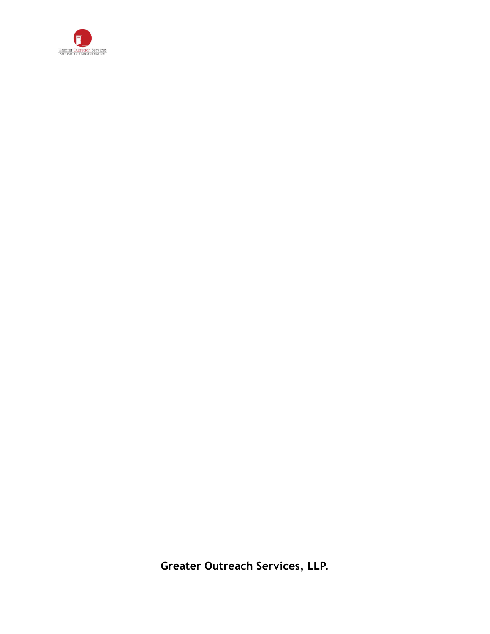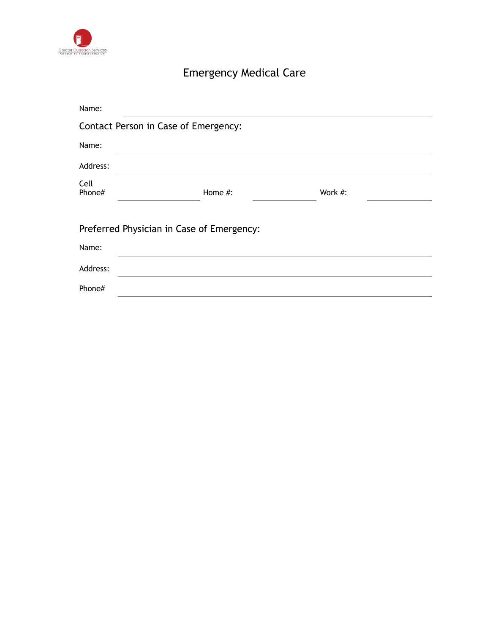

### Emergency Medical Care

| Name:          |                                           |         |  |
|----------------|-------------------------------------------|---------|--|
|                | Contact Person in Case of Emergency:      |         |  |
| Name:          |                                           |         |  |
| Address:       |                                           |         |  |
| Cell<br>Phone# | Home #:                                   | Work #: |  |
|                | Preferred Physician in Case of Emergency: |         |  |
| Name:          |                                           |         |  |
| Address:       |                                           |         |  |
| Phone#         |                                           |         |  |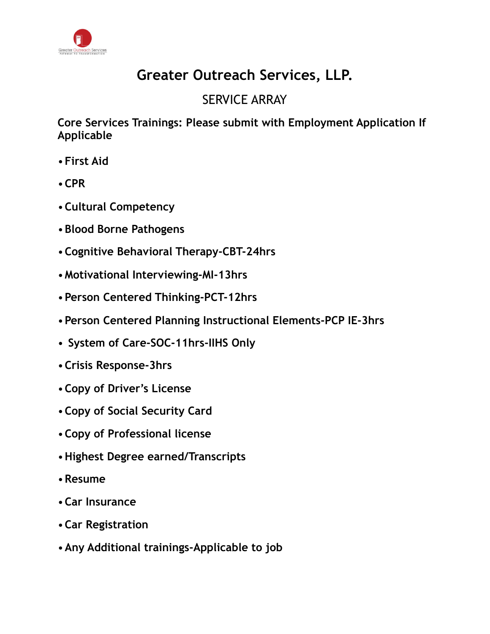

### SERVICE ARRAY

**Core Services Trainings: Please submit with Employment Application If Applicable** 

- •**First Aid**
- •**CPR**
- •**Cultural Competency**
- •**Blood Borne Pathogens**
- •**Cognitive Behavioral Therapy-CBT-24hrs**
- •**Motivational Interviewing-MI-13hrs**
- •**Person Centered Thinking-PCT-12hrs**
- •**Person Centered Planning Instructional Elements-PCP IE-3hrs**
- • **System of Care-SOC-11hrs-IIHS Only**
- •**Crisis Response-3hrs**
- •**Copy of Driver's License**
- •**Copy of Social Security Card**
- •**Copy of Professional license**
- •**Highest Degree earned/Transcripts**
- •**Resume**
- •**Car Insurance**
- •**Car Registration**
- •**Any Additional trainings-Applicable to job**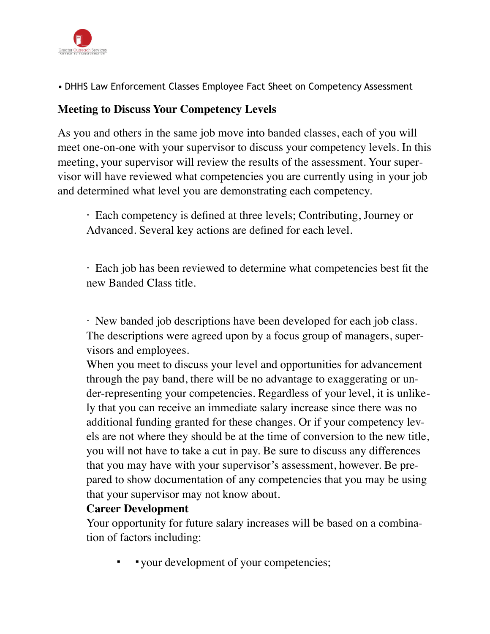

• DHHS Law Enforcement Classes Employee Fact Sheet on Competency Assessment

### **Meeting to Discuss Your Competency Levels**

As you and others in the same job move into banded classes, each of you will meet one-on-one with your supervisor to discuss your competency levels. In this meeting, your supervisor will review the results of the assessment. Your supervisor will have reviewed what competencies you are currently using in your job and determined what level you are demonstrating each competency.

· Each competency is defined at three levels; Contributing, Journey or Advanced. Several key actions are defined for each level.

· Each job has been reviewed to determine what competencies best fit the new Banded Class title.

· New banded job descriptions have been developed for each job class. The descriptions were agreed upon by a focus group of managers, supervisors and employees.

When you meet to discuss your level and opportunities for advancement through the pay band, there will be no advantage to exaggerating or under-representing your competencies. Regardless of your level, it is unlikely that you can receive an immediate salary increase since there was no additional funding granted for these changes. Or if your competency levels are not where they should be at the time of conversion to the new title, you will not have to take a cut in pay. Be sure to discuss any differences that you may have with your supervisor's assessment, however. Be prepared to show documentation of any competencies that you may be using that your supervisor may not know about.

### **Career Development**

Your opportunity for future salary increases will be based on a combination of factors including:

▪ ▪your development of your competencies;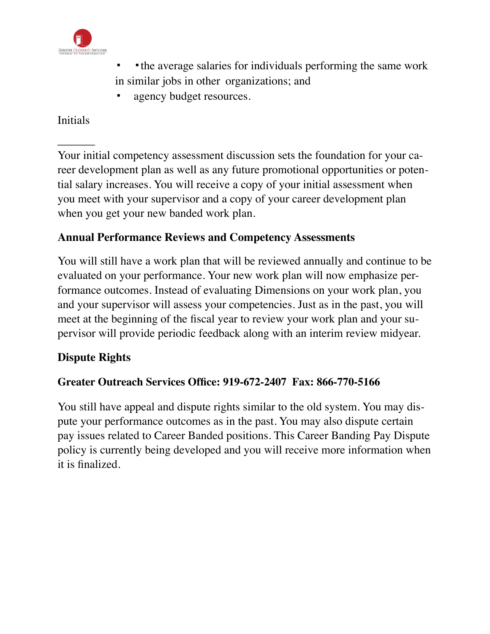

- the average salaries for individuals performing the same work in similar jobs in other organizations; and
- agency budget resources.

### Initials

Your initial competency assessment discussion sets the foundation for your career development plan as well as any future promotional opportunities or potential salary increases. You will receive a copy of your initial assessment when you meet with your supervisor and a copy of your career development plan when you get your new banded work plan.

### **Annual Performance Reviews and Competency Assessments**

You will still have a work plan that will be reviewed annually and continue to be evaluated on your performance. Your new work plan will now emphasize performance outcomes. Instead of evaluating Dimensions on your work plan, you and your supervisor will assess your competencies. Just as in the past, you will meet at the beginning of the fiscal year to review your work plan and your supervisor will provide periodic feedback along with an interim review midyear.

### **Dispute Rights**

### **Greater Outreach Services Office: 919-672-2407 Fax: 866-770-5166**

You still have appeal and dispute rights similar to the old system. You may dispute your performance outcomes as in the past. You may also dispute certain pay issues related to Career Banded positions. This Career Banding Pay Dispute policy is currently being developed and you will receive more information when it is finalized.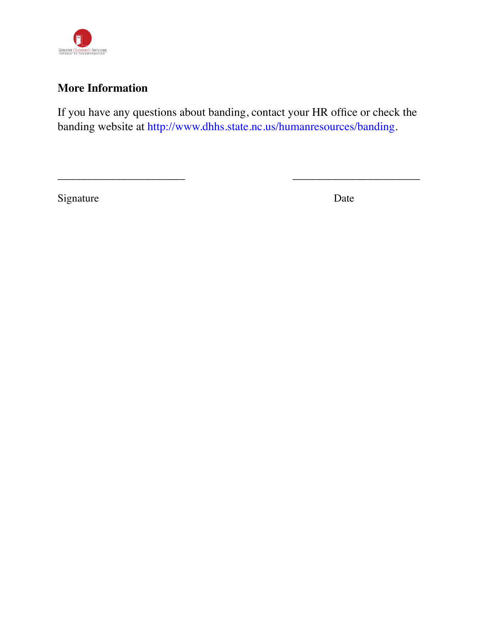

### **More Information**

If you have any questions about banding, contact your HR office or check the banding website at http://www.dhhs.state.nc.us/humanresources/banding.

\_\_\_\_\_\_\_\_\_\_\_\_\_\_\_\_\_\_\_\_\_\_ \_\_\_\_\_\_\_\_\_\_\_\_\_\_\_\_\_\_\_\_\_\_

Signature Date